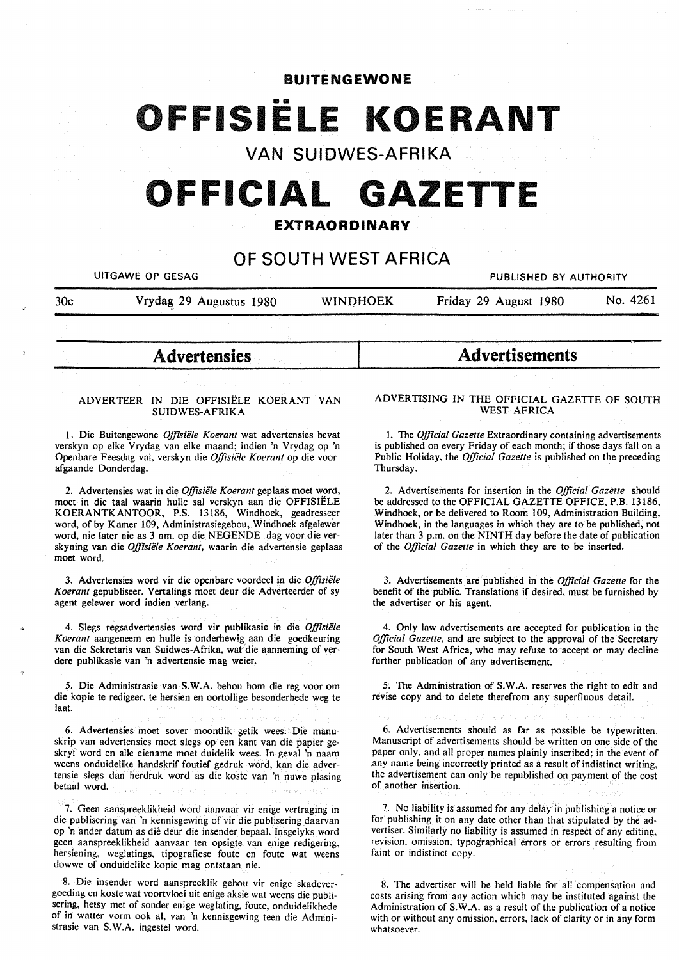### **BUITENGEWONE**

# **111111 FFISIELE KOERANT**

**VAN SUIDWES-AFRIKA** 

# **OFFICIAL GAZETTE**

### **EXTRAORDINARY**

## **OF SOUTH WEST AFRICA**

|     | UITGAWE OP GESAG        |                 | PUBLISHED BY AUTHORITY |          |
|-----|-------------------------|-----------------|------------------------|----------|
| 30c | Vrydag 29 Augustus 1980 | <b>WINDHOEK</b> | Friday 29 August 1980  | No. 4261 |

#### **ADVERTEER IN** DIE OFFISIELE **KOERANT VAN SUIDWES-AFRIKA**

1. Die Buitengewone *Offisiële Koerant* wat advertensies bevat verskyn op elke Vrydag van elke maand; indien 'n Vrydag op 'n Openbare Feesdag val, verskyn die *Offisiële Koerant* op die voorafgaande Donderdag.

2. Advertensies wat in die *Offisiële Koerant* geplaas moet word, moet in die taal waarin hulle sal verskyn aan die OFFISIELE **KOERANTKANTOOR, P.S.** 13186, Windhoek, geadresseer word, of by Kamer 109, Administrasiegebou, Windhoek afgelewer word, nie later nie as 3 nm. op die NEGENDE dag voor die verskyning van die *Offisiele Koerant,* waarin die advertensie geplaas moet word.

3. Advertensies word vir die openbare voordeel in die *Offisiële Koerant* gepubliseer. Vertalings moet deur die Adverteerder of sy agent gelewer word indien verlang.

4. Slegs regsadvertensies word vir publikasie in die *Offisiele Koerant* aangeneem en hulle is onderhewig aan die goedkeuring van die Sekretaris van Suidwes-Afrika, wat die aanneming of verdere publikasie van 'n advertensie mag weier.

*5.* Die Administrasie van **S.W.A.** behou horn die reg voor om die kopie te redigeer, te hersien en oortollige besonderhede weg te laat.

6. Advertensies moet sover moontlik getik wees. Die manuskrip van advertensies moet slegs op een kant van die papier geskryf word en alle eiename moet duidelik wees. In geval 'n naam weens onduidelike handskrif foutief gedruk word, kan die advertensie slegs dan herdruk word as die koste van 'n nuwe plasing betaal word.

7. Geen aanspreeklikheid word aanvaar vir enige vertraging in die publisering van 'n kennisgewing of vir die publisering daarvan op 'n ander datum as die deur die insender bepaal. Insgelyks word geen aanspreeklikheid aanvaar ten opsigte van enige redigering, hersiening, weglatings, tipografiese foute en foute wat weens dowwe of onduidelike kopie mag ontstaan nie.

8. Die insender word aanspreeklik gehou vir enige skadevergoeding en koste wat voortvloei uit enige aksie wat weens die publisering, hetsy met of sonder enige weglating, foute, onduidelikhede of in watter vorm ook al, van 'n kennisgewing teen die Administrasie van S.W.A. ingestel word.

# Advertensies Advertisements **Advertisements**

#### **ADVERTISING IN** THE **OFFICIAL** GAZETTE **OF SOUTH WEST AFRICA**

1. The *Official Gazette* Extraordinary containing advertisements is published on every Friday of each month; if those days fall on a Public Holiday, the *Official Gazette* is published on the preceding Thursday.

2. Advertisements for insertion in the *Official Gazette* should be addressed to the OFFICIAL GAZETTE OFFICE, P.B. 13186, Windhoek, or be delivered to Room 109, Administration Building, Windhoek, in the languages in which they are to be published, not later than 3 p.m. on the **NINTH** day before the date of publication of the *Official Gazelle* in which they are to be inserted.

3. Advertisements are published in the *Official Gazelle* for the benefit of the public. Translations if desired, must be furnished by the advertiser or his agent.

4. Only law advertisements are accepted for publication in the *Official Gazette,* and are subject to the approval of the Secretary for South West Africa, who may refuse to accept or may decline further publication of any advertisement.

*5.* The Administration of **S.W.A.** reserves the right to edit and revise copy and to delete therefrom any superfluous detail.

6. Advertisements should as far as possible be typewritten. Manuscript of advertisements should be written on one side of the paper only, and all proper names plainly inscribed; in the event of .any name being incorrectly printed as a result of indistinct writing, the advertisement can only be republished on payment of the cost of another insertion.

7. No liability is assumed for any delay in publishing a notice or for publishing it on any date other than that stipulated by the advertiser. Similarly no liability is assumed in respect of any editing, revision, omission, typographical errors or errors resulting from faint or indistinct copy.

8. The advertiser will be held liable for all compensation and costs arising from any action which may be instituted against the Administration of S. W .A. as a result of the publication of a notice with or without any omission, errors, lack of clarity or in any form whatsoever.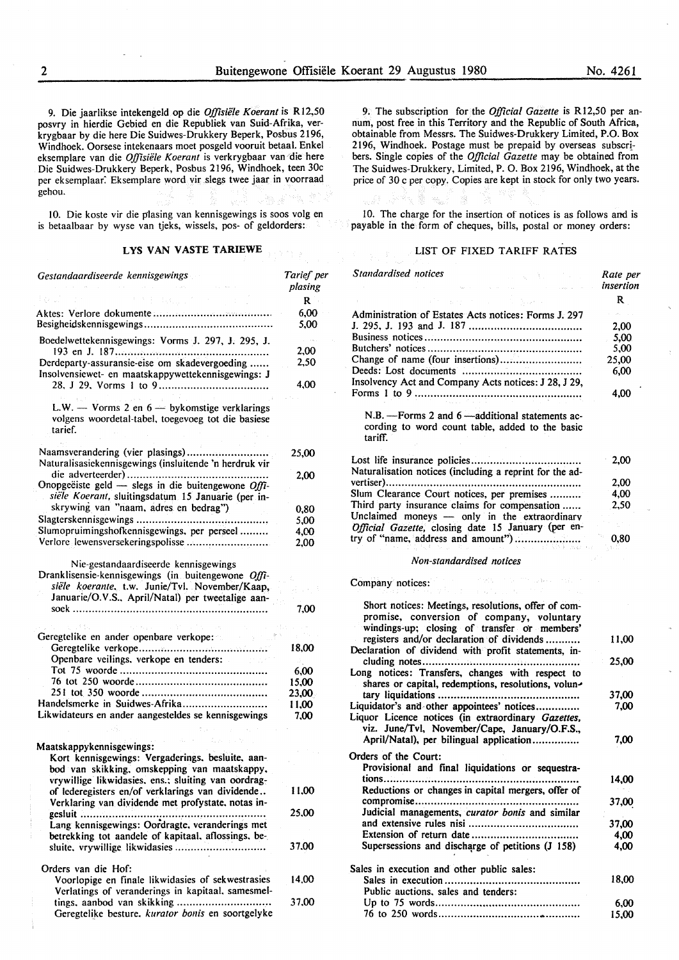9. Die jaarlikse intekengeld op die *Offisiele Koerant* is Rl2,50 posvry in hierdie Gebied en die Republiek van Suid-Afrika, verkrygbaar by die here Die Suidwes-Drukkery Beperk, Posbus 2196, Windhoek. Oorsese intekenaars moet posgeld vooruit betaal. Enke! eksemplare van die *Offisiele Koerant* is verkrygbaar van die here Die Suidwes-Drukkery Beperk, Posbus 2196, Windhoek, teen 30c per eksemplaar. Eksemplare word vir slegs twee jaar in voorraad gehou.

10. Die koste vir die pfasing van kennisgewings is soos volg en is betaalbaar by wyse van tjeks, wissels, pos- of geldorders:

#### **LYS VAN VASTE TARIEWE**

| Gestandaardiseerde kennisgewings                                                                                                                        | Tarief per<br>plasing |
|---------------------------------------------------------------------------------------------------------------------------------------------------------|-----------------------|
| 手に起こして                                                                                                                                                  | R                     |
|                                                                                                                                                         | 6,00<br>5,00          |
| Boedelwettekennisgewings: Vorms J. 297, J. 295, J.                                                                                                      | 2,00                  |
| Derdeparty-assuransie-eise om skadevergoeding<br>Insolvensiewet- en maatskappywettekennisgewings: J                                                     | 2,50                  |
|                                                                                                                                                         | 4.00                  |
| L.W. $-$ Vorms 2 en $6 -$ bykomstige verklarings<br>volgens woordetal-tabel, toegevoeg tot die basiese<br>tarief.                                       |                       |
| Naamsverandering (vier plasings)<br>Naturalisasiekennisgewings (insluitende 'n herdruk vir                                                              | 25,00                 |
| Onopgeëiste geld - slegs in die buitengewone $Offi$ -<br>siële Koerant, sluitingsdatum 15 Januarie (per in-                                             | 2,00                  |
| skrywing van "naam, adres en bedrag")                                                                                                                   | 0,80                  |
|                                                                                                                                                         | 5,00                  |
| Slumopruimingshofkennisgewings, per perseel                                                                                                             | 4,00                  |
| Verlore lewensversekeringspolisse                                                                                                                       | 2.00                  |
| Nie-gestandaardiseerde kennisgewings<br>Dranklisensie-kennisgewings (in buitengewone Offi-<br>siële koerante, t.w. Junie/Tvl. November/Kaap,            |                       |
| Januarie/O.V.S., April/Natal) per tweetalige aan-                                                                                                       | 7,00                  |
|                                                                                                                                                         |                       |
| Geregtelike en ander openbare verkope:                                                                                                                  |                       |
|                                                                                                                                                         | 18,00                 |
| Openbare veilings, verkope en tenders:                                                                                                                  |                       |
|                                                                                                                                                         | 6,00                  |
|                                                                                                                                                         | 15,00                 |
|                                                                                                                                                         | 23,00                 |
| Handelsmerke in Suidwes-Afrika                                                                                                                          | 11,00                 |
| Likwidateurs en ander aangesteldes se kennisgewings                                                                                                     | 7.00                  |
|                                                                                                                                                         |                       |
| Maatskappykennisgewings:                                                                                                                                |                       |
| Kort kennisgewings: Vergaderings, besluite, aan-<br>bod van skikking, omskepping van maatskappy,<br>vrywillige likwidasies, ens.; sluiting van oordrag- |                       |
| of lederegisters en/of verklarings van dividende<br>Verklaring van dividende met profystate, notas in-                                                  | 11.00                 |
| gesluit<br>Lang kennisgewings: Oordragte, veranderings met                                                                                              | 25,00                 |
| betrekking tot aandele of kapitaal, aflossings, be-<br>sluite, vrywillige likwidasies                                                                   | 37,00                 |
| Orders van die Hof:<br>Voorlopige en finale likwidasies of sekwestrasies<br>Verlatings of veranderings in kapitaal. samesmel-                           | 14,00                 |
| tings, aanbod van skikking                                                                                                                              | 37,00                 |

Geregtelike besture. *kurator bonis* en soortgelyke

9. The subscription for the *Official Gazette* is Rl2,50 per annum, post free in this Territory and the Republic of South Africa, obtainable from Messrs. The Suidwes-Drukkery Limited, P.O. Box 2196, Windhoek. Postage must be prepaid by overseas subscribers. Single copies of the *Official Gazette* may be obtained from The Suidwes-Drukkery, Limited, P. 0. Box 2196, Windhoek, at the price of 30 c per copy. Copies are kept in stock for only two years.

10. The charge for the insertion of notices is as follows and is payable in the form of cheques, bills, postal or money orders:

#### LIST OF FIXED TARIFF RATES

| Standardised notices<br>こうきょう プロ                                                                                                                                                              | Rate per<br>insertion |
|-----------------------------------------------------------------------------------------------------------------------------------------------------------------------------------------------|-----------------------|
|                                                                                                                                                                                               | R                     |
| Administration of Estates Acts notices: Forms J. 297                                                                                                                                          |                       |
|                                                                                                                                                                                               | 2,00                  |
|                                                                                                                                                                                               | 5,00                  |
|                                                                                                                                                                                               | 5,00                  |
| Change of name (four insertions)                                                                                                                                                              | 25,00                 |
|                                                                                                                                                                                               | 6,00                  |
| Insolvency Act and Company Acts notices: J 28, J 29,                                                                                                                                          | 4,00                  |
| N.B. - Forms 2 and 6 - additional statements ac-<br>cording to word count table, added to the basic<br>tariff.                                                                                |                       |
|                                                                                                                                                                                               | 2,00                  |
| Naturalisation notices (including a reprint for the ad-                                                                                                                                       |                       |
|                                                                                                                                                                                               | 2,00                  |
| Slum Clearance Court notices, per premises                                                                                                                                                    | 4,00                  |
| Third party insurance claims for compensation                                                                                                                                                 | 2,50                  |
| Unclaimed moneys - only in the extraordinary                                                                                                                                                  |                       |
| Official Gazette, closing date 15 January (per en-<br>try of "name, address and amount")                                                                                                      |                       |
| 17 IS) 1919                                                                                                                                                                                   | 0,80                  |
| Non-standardised notices                                                                                                                                                                      |                       |
| PORT IN THE WARRANT STEP<br>Company notices:<br>おおな ご カーセスト                                                                                                                                   |                       |
| Short notices: Meetings, resolutions, offer of com-<br>promise, conversion of company, voluntary<br>windings-up; closing of transfer or members'<br>registers and/or declaration of dividends | 11,00                 |
| Declaration of dividend with profit statements, in-                                                                                                                                           | 25,00                 |
| Long notices: Transfers, changes with respect to<br>shares or capital, redemptions, resolutions, volun-                                                                                       |                       |
|                                                                                                                                                                                               | 37,00                 |
| Liquidator's and other appointees' notices                                                                                                                                                    | 7,00                  |
| Liquor Licence notices (in extraordinary Gazettes,<br>viz. June/Tvl, November/Cape, January/O.F.S.,                                                                                           |                       |
| April/Natal), per bilingual application                                                                                                                                                       | 7,00                  |
| Orders of the Court:                                                                                                                                                                          |                       |
| Provisional and final liquidations or sequestra-                                                                                                                                              |                       |
|                                                                                                                                                                                               | 14,00                 |
| Reductions or changes in capital mergers, offer of                                                                                                                                            |                       |
| Judicial managements, curator bonis and similar                                                                                                                                               | 37,00                 |
|                                                                                                                                                                                               | 37,00                 |
|                                                                                                                                                                                               | 4,00                  |
| Supersessions and discharge of petitions (J 158)                                                                                                                                              | 4,00                  |
|                                                                                                                                                                                               |                       |
| Sales in execution and other public sales:                                                                                                                                                    |                       |
| Public auctions, sales and tenders:                                                                                                                                                           | 18,00                 |
|                                                                                                                                                                                               | 6,00                  |
|                                                                                                                                                                                               | 15,00                 |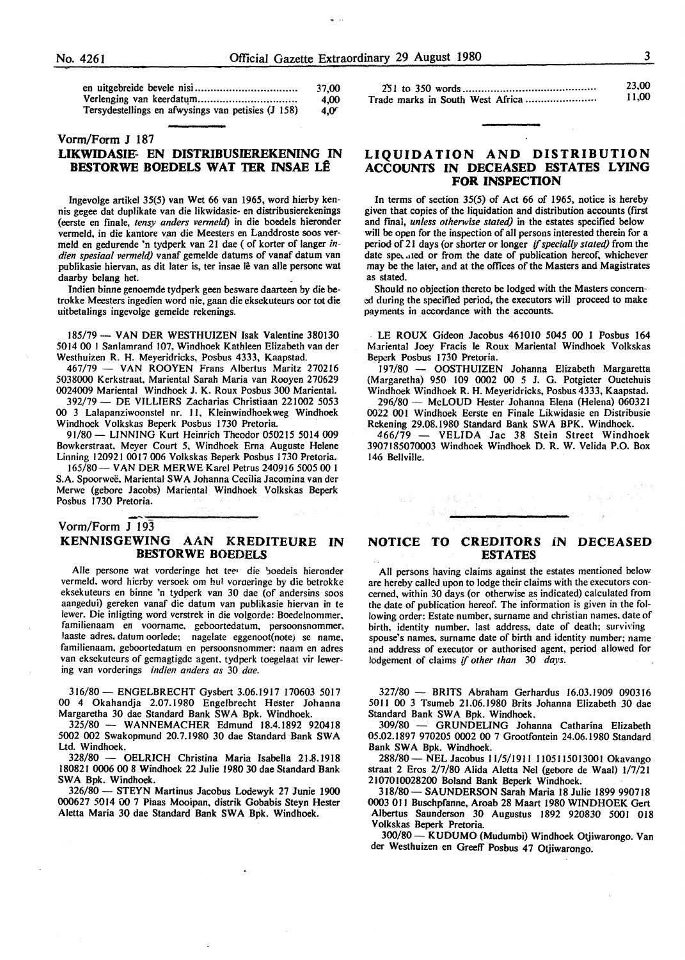|                                                    | 37.00       |
|----------------------------------------------------|-------------|
|                                                    | 4.00        |
| Tersydestellings en afwysings van petisies (J 158) | $4.0^\circ$ |

#### Vorm/Form J 187

#### **LIKWIDASIE- EN DISTRIBUSJEREKENING** IN **BESTORWE BOEDELS WAT TER INSAE LÊ**

Ingevolge artikel 35(5) van Wet 66 van 1965, word hierby kennis gegee dat duplikate van die likwidasie- en distribusierekenings (eerste en finale, *tensy anders venneltl)* in die boedels hieronder vermeld, in die kantore van die Meesters en Landdroste soos vermeld en gedurende 'n tydperk van 21 dae ( of korter of langer in*dien spesiaal vermeld)* vanaf gemelde datums of vanaf datum van publikasie hiervan, as dit later is, ter insae lê van alle persone wat daarby belang het.

lndien binne genoemde tydperk geen besware daarteen by die betrokke Meesters ingedien word nie, gaan die eksekuteurs oor tot die uitbetalings ingevolge gemelde rekenings.

185/79 - VAN DER WESTHUIZEN Isak Valentine 380130 5014 00 l Sanlamrand 107, Windhoek Kathleen Elizabeth van der Westhuizen R. H. Meyeridricks, Posbus 4333, Kaapstad.

467/79 - VAN ROOYEN Frans Albertus Maritz 270216 5038000 Kerkstraat, Mariental Sarah Maria van Rooyen 270629 0024009 Mariental Windhoek J. K. Roux Posbus 300 Mariental.

392/79 - DE VILLIERS Zacharias Christiaan 221002 5053 00 3 Lalapanziwoonstel nr. I I, Kleinwindhoekweg Windhoek Windhoek Volkskas Beperk Posbus 1730 Pretoria.

91/80- LINNING Kurt Heinrich Theodor 050215 5014 009 Bowkerstraat. Meyer Court 5, Windhoek Erna Auguste Helene Linning 1209210017006 Volkskas Beperk Posbus 1730 Pretoria.

165/80- VAN DER MERWE Karel Petrus 240916 5005 00 l S.A. Spoorwee, Mariental SW A Johanna Cecilia Jacomina van der Merwe (gebore Jacobs) Mariental Windhoek Volkskas Beperk Posbus 1730 Pretoria.

#### Vorm/Form  $J$  193 **KENNISGEWING AAN KREDITEURE IN BESTORWE BOEDELS**

Alle persone wat vorderinge het teer die boedels hieronder vermeld, word hicrby versoek om hul vorderinge by die betrokke eksekuteurs en binne 'n tydperk van 30 dae (of andersins soos aangedui) gereken vanaf die datum van publikasie hiervan in te !ewer. Die inligting word verstrek in die volgorde: Boedelnommer. familienaam en voorname, geboortedatum, persoonsnommer, laaste adres. datum oorlede; nagelate eggenoot(note) se name. familienaam. geboortedatum en persoonsnommer: naam en adres van eksekutcurs of gemagtigde agent, tydperk toegelaat vir lewering van vorderings *indien anders as* 30 *dae.* 

316/80 - ENGELBRECHT Gysbert 3.06.1917 170603 5017 00 4 Okahandja 2.07.1980 Engelbrecht Hester Johanna Margaretha 30 dae Standard Bank **SW A** Bpk. Windhoek.

325/80 - WANNEMACHER Edmund 18.4.1892 920418 5002 002 Swakopmund 20.7.1980 30 dae Standard Bank SWA Ltd. Windhoek.<br> $328/80 - 6$ 

- OELRICH Christina Maria Isabella 21.8.1918 180821 0006 00 8 Windhoek 22 Julie 1980 30 dae Standard Bank SWA Bpk. Windhoek.

326/80 - STEYN Martinus Jacobus Lodewyk 27 Junie 1900 000627 5014 00 7 Plaas Mooipan, distrik Gobabis Steyn Hester Aletta Maria 30 dae Standard Bank **SW A** Bpk. Windhoek.

|  | 11.00 |
|--|-------|

#### **LIQUIDATION AND DISTRIBUTION ACCOUNTS IN DECEASED ESTATES LYING FOR INSPECTION**

In terms of section 35(5) of Act 66 of 1965, notice is hereby given that copies of the liquidation and distribution accounts (first and final, *unless otherwise stated)* in the estates specified below will be open for the inspection of all persons interested therein for a period of 21 days (or shorter or longer if *specially stated)* from the date speculed or from the date of publication hereof, whichever may be the later, and at the offices of the Masters and Magistrates as stated.

Should no objection thereto be lodged with the Masters concerned during the specified period, the executors will proceed to make payments in accordance with the accounts.

LE **ROUX** Gideon Jacobus 461010 5045 00 I Posbus 164 Mariental Joey Fracis le Roux Mariental Windhoek Volkskas Beperk Posbus 1730 Pretoria.

197/80 - OOSTHUIZEN Johanna Elizabeth Margaretta (Margaretha) 950 109 0002 00 *5* J. G. Potgieter Ouetehuis Windhoek Windhoek R. H. Meyeridricks, Posbus 4333, Kaapstad.

296/80 - McLOUD Hester Johanna Elena (Helena) 060321 0022 001 Windhoek Eerste en Finale Likwidasie en Distribusie Rekening 29.08.1980 Standard Bank SWA BPK. Windhoek.

466/79 - VELIDA Jac 38 Stein Street Windhoek 3907185070003 Windhoek Windhoek D.R. W. Velida P.O. Box 146 Bellville.

#### **NOTICE TO CREDITORS iN DECEASED ESTATES**

All persons having claims against the estates mentioned below are hereby called upon to lodge their claims with the executors concerned. within 30 days (or otherwise as indicated) calculated from the date of publication hereof. The information is given in the following order: Estate number, surname and christian names. date of birth, identity number, last address, date of death; surviving spouse's names, surname date of birth and identity number; name and address of executor or authorised agent. period allowed for lodgement of claims if *other than* 30 *days.* 

327/80 - **BRITS** Abraham Gerhardus 16.03.1909 090316 50 I I 00 3 Tsumeb 21.06.1980 Brits Johanna Elizabeth 30 dae Standard Bank SWA Bpk. Windhoek.

309/80 - GRUNDELING Johanna Catharina Elizabeth 05.02.1897 970205 0002 00 7 Grootfontein 24.06.1980 Standard Bank SWA Bpk. Windhoek.

288/80 - NEL Jacobus 11/5/1911 1105115013001 Okavango straat 2 Eros 2/7/80 Alida Aletta Nel (gebore de Waal) 1/7/21 2107010028200 Boland Bank Beperk Windhoek.

318/80- SAUNDERSON Sarah Maria 18 Julie 1899 990718 0003 011 Buschpfanne. Aroab 28 Maart 1980 WINDHOEK Gert Albertus Saunderson 30 Augustus 1892 920830 5001 018 Volkskas Beperk Pretoria.

300/80- KUDUMO (Mudumbi) Windhoek Otjiwarongo. Van der Westhuizen en Greeff Posbus 47 Otjiwarongo.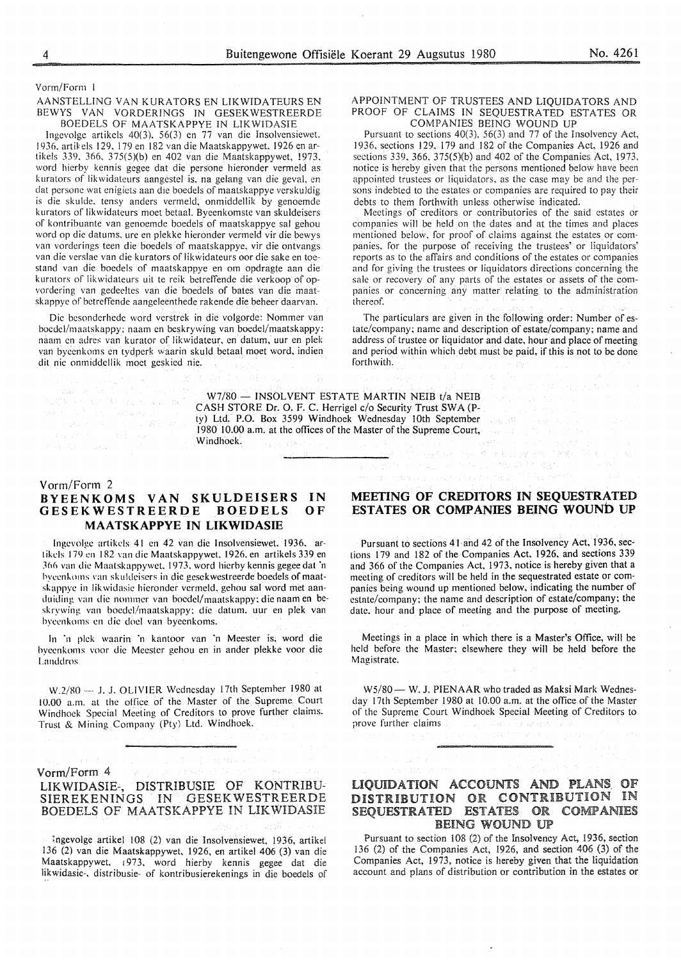Vorm/Form

#### AANSTELLING VAN KURATORS EN LIKWIDATEURS EN BEWYS VAN VORDER!NGS IN GESEKWESTREERDE BOEDELS OF MAATSKAPPYE IN LIKWIDASIE

lngevolge artikels 40(3). 56(3) en 77 van die Insolvensiewet. 1936. artikcls I 29. 179 en 182 van die Maatskappywet. 1926 en artikels 339. 366, 375(5)(b) en 402 van die Maatskappywet, 1973. word hierby kennis gegee dat die persone hieronder vermeld as kurators of likwidateurs aangestel is. na gelang van die geval, en dat persone wat enigiets aan die boedels of maatskappye verskuldig is die skulde, tensy anders vermeld, onmiddellik by genoemde kurators of likwidateurs moet betaal. Byeenkomste van skuldeisers of kontribuantc van genocmde boedcls of maatskappye sal gehou word op die datums, ure en plekke hieronder vermeld vir die bewys van vorderings teen die boedels of maatskappye. vir die ontvangs van die verslae van die kurators of likwidateurs oor die sake en toestand van die boedels of maatskappye en om opdragte aan die kurators of likwidateurs uit te reik betreffende die verkoop of opvordering van gcdee!tes van die boedcls of bates van die maatskappye of betreffende aangeleenthede rakende die beheer daarvan.

Die besonderhede word verstrek in die volgorde: Nommer van boedcl/maatskappy: naam en beskrywing van boedel/maatskappy: naam en adres van kurator of likwidateur, en datum, uur en plek van bycenkoms en tydperk waarin skuld betaal moet word, indien dit nie onmiddellik moet geskied nic.

#### APPOINTMENT OF TRUSTEES AND LIQUIDATORS AND PROOF OF CLAIMS IN SEQUESTRATED ESTATES OR COMPANIES BEING WOUND UP

Pursuant to sections 40(3). 56(3) and 77 of the Insolvency Act, 1936, sections 129. 179 and 182 of the Companies Act, 1926 and sections 339, 366, 375(5)(b) and 402 of the Companies Act, 1973, notice is hereby given that the persons mentioned below have been appointed trustees or liquidators, as the case may be and the persons indebted to the estates or companies are required to pay their debts to them forthwith unless otherwise indicated.

Meetings of creditors or contributories of the said estates or companies will be held on the dates and at the times and places mentioned below. for proof of claims against the estates or companies. for the purpose of receiving the trustees' or liquidators' reports as to the affairs and conditions of the estates or companies and for giving the trustees or liquidators directions concerning the sale or recovery of any parts of the estates or assets of the companies or concerning any matter relating to the administration thereof.

The particulars are given in the following order: Number of estate/company; name and description of estate/company; name and address of trustee or liquidator and date, hour and place of meeting and period within which debt must be paid, if this is not to be done forthwith.

W7/80 - INSOLVENT ESTATE MARTIN NEIB t/a NEIB CASH STORE Dr. 0. F. C. Herrigel c/o Security Trust SWA (Pty) Ltd. P.O. Box 3599 Windhoek Wednesday 10th September I 980 10.00 a.m. at the offices of the Master of the Supreme Court, Windhoek. as pattern

#### Vorm/Form 2

**カス ないしん** 

de Constitución de Constitución septing (A)<br>Linux (A)

#### **BYEENKOMS VAN SKULDEISERS IN GESEKWESTREERDE BOEDELS MAATSKAPPYE IN LIKWIDASIE OF**

Ingevolge artikels 41 en 42 van die Insolvensiewet. 1936. artikels 179 en 182 van die Maatskappywet. 1926, en artikels 339 en 366 van die Maatskappywet. 1973. word hierby kennis gegee dat 'n hycenkoms van skuldeisers in die gesekwestreerde boedels of maatskappye in likwidasie hieronder vermeld, gehou sal word met aanduiding van die nommer van bocdel/maatskappy; die naam en beskrywing van boedcl/maatskappy; die datum. uur en pick van hyccnkoms en die doc! van byeenkoms.

In ·11 pick waarin 'n kantoor van 'n Meester is. word die byccnkoms voor die Meester gchou en in ander plekke voor die l.anddros

W.2/80 -- J. J. OLIVIER Wednesday 17th September 1980 at 10.00 a.m. at the otfice of the Master of the Supreme Court Windhoek Special Meeting of Creditors to prove further claims. Trust & Mining Company (Pty) Ltd. Windhoek.

#### Vorm/Form 4

#### LIKWIDASIE-, DISTRIBUSIE OF KONTRIBU-SIEREKENINGS IN GESEKWESTREERDE BOEDELS OF MAATSKAPPYE IN LIKWIDASIE

Ingevolge artikel 108 (2) van die Insolvensiewet, 1936, artikel 136 (2) van die Maatskappywet, 1926, en artikel 406 (3) van die Maatskappywet, 1973, word hierby kennis gegee dat die likwidasie-, distribusie- of kontribusierekenings in die boedels of

#### **MEETING OF CREDITORS IN SEQUESTRATED ESTATES OR COMPANIES BEING WOUND UP**

n 1991<br>Tematika (Than 1991) nda ilay kotoni 1986

a la provincia de la construcción de la provincia de la construcción de la construcción de la construcción de<br>En la construcción de la construcción de la construcción de la construcción de la construcción de la construcc an de la propincia

Pursuant to sections 41 and 42 of the Insolvency Act, 1936, sections 179 and 182 of the Companies Act, 1926, and sections 339 and 366 of the Companies Act, 1973, notice is hereby given that a meeting of creditors will be held in the sequestrated estate or companies being wound up mentioned below, indicating the number of estate/company; the name and description of estate/company; the date. hour and place of meeting and the purpose of meeting.

Meetings in a place in which there is a Master's Office, will be held before the Master; elsewhere they will be held before the Magistrate.

W5/80 — W. J. PIENAAR who traded as Maksi Mark Wednesday 17th September 1980 at 10.00 a.m. at the office of the Master of the Supreme Court Windhoek Special Meeting of Creditors to prove further claims r a da e por

#### LIQUIDATION ACCOUNTS AND PLANS OF DISTRIBUTION OR CONTRIBUTION IN SEQUESTRATED ESTATES OR COMPANIES BEING WOUND UP

Pursuant to section 108 (2) of the Insolvency Act, 1936, section 136 (2) of the Companies Act, 1926, and section 406 (3) of the Companies Act, 1973, notice is hereby given that the liquidation account and plans of distribution or contribution in the estates or